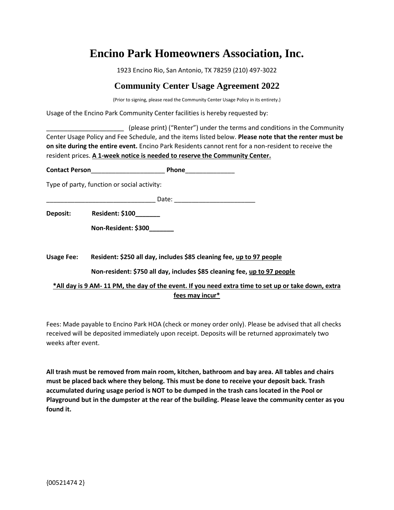# **Encino Park Homeowners Association, Inc.**

1923 Encino Rio, San Antonio, TX 78259 (210) 497-3022

## **Community Center Usage Agreement 2022**

(Prior to signing, please read the Community Center Usage Policy in its entirety.)

Usage of the Encino Park Community Center facilities is hereby requested by:

\_\_\_\_\_\_\_\_\_\_\_\_\_\_\_\_\_\_\_\_\_\_ (please print) ("Renter") under the terms and conditions in the Community Center Usage Policy and Fee Schedule, and the items listed below. **Please note that the renter must be on site during the entire event.** Encino Park Residents cannot rent for a non-resident to receive the resident prices. **A 1-week notice is needed to reserve the Community Center.**

**Contact Person**\_\_\_\_\_\_\_\_\_\_\_\_\_\_\_\_\_\_\_\_\_ **Phone**\_\_\_\_\_\_\_\_\_\_\_\_\_\_

Type of party, function or social activity:

 $\blacksquare$  Date:  $\blacksquare$ 

**Deposit: Resident: \$100\_\_\_\_\_\_\_**

 **Non-Resident: \$300\_\_\_\_\_\_\_**

**Usage Fee: Resident: \$250 all day, includes \$85 cleaning fee, up to 97 people**

 **Non-resident: \$750 all day, includes \$85 cleaning fee, up to 97 people** 

**\*All day is 9 AM- 11 PM, the day of the event. If you need extra time to set up or take down, extra fees may incur\***

Fees: Made payable to Encino Park HOA (check or money order only). Please be advised that all checks received will be deposited immediately upon receipt. Deposits will be returned approximately two weeks after event.

**All trash must be removed from main room, kitchen, bathroom and bay area. All tables and chairs must be placed back where they belong. This must be done to receive your deposit back. Trash accumulated during usage period is NOT to be dumped in the trash cans located in the Pool or Playground but in the dumpster at the rear of the building. Please leave the community center as you found it.**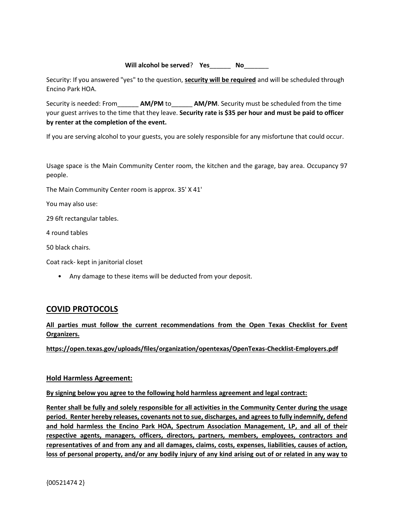**Will alcohol be served**? **Yes**\_\_\_\_\_\_ **No**\_\_\_\_\_\_\_

Security: If you answered "yes" to the question, **security will be required** and will be scheduled through Encino Park HOA.

Security is needed: From\_\_\_\_\_\_ **AM/PM** to\_\_\_\_\_\_ **AM/PM**. Security must be scheduled from the time your guest arrives to the time that they leave. **Security rate is \$35 per hour and must be paid to officer by renter at the completion of the event.** 

If you are serving alcohol to your guests, you are solely responsible for any misfortune that could occur.

Usage space is the Main Community Center room, the kitchen and the garage, bay area. Occupancy 97 people.

The Main Community Center room is approx. 35' X 41'

You may also use:

29 6ft rectangular tables.

4 round tables

50 black chairs.

Coat rack- kept in janitorial closet

• Any damage to these items will be deducted from your deposit.

### **COVID PROTOCOLS**

#### **All parties must follow the current recommendations from the Open Texas Checklist for Event Organizers.**

**https://open.texas.gov/uploads/files/organization/opentexas/OpenTexas-Checklist-Employers.pdf**

#### **Hold Harmless Agreement:**

**By signing below you agree to the following hold harmless agreement and legal contract:** 

**Renter shall be fully and solely responsible for all activities in the Community Center during the usage period. Renter hereby releases, covenants not to sue, discharges, and agrees to fully indemnify, defend and hold harmless the Encino Park HOA, Spectrum Association Management, LP, and all of their respective agents, managers, officers, directors, partners, members, employees, contractors and representatives of and from any and all damages, claims, costs, expenses, liabilities, causes of action, loss of personal property, and/or any bodily injury of any kind arising out of or related in any way to**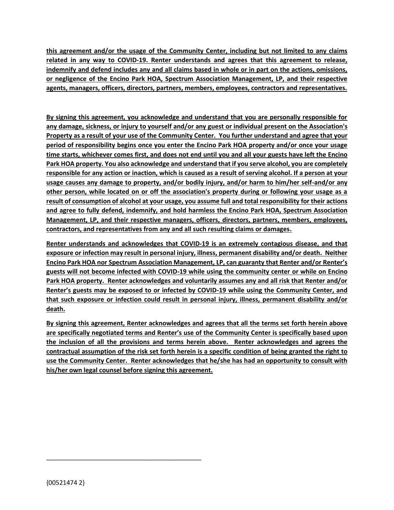**this agreement and/or the usage of the Community Center, including but not limited to any claims related in any way to COVID-19. Renter understands and agrees that this agreement to release, indemnify and defend includes any and all claims based in whole or in part on the actions, omissions, or negligence of the Encino Park HOA, Spectrum Association Management, LP, and their respective agents, managers, officers, directors, partners, members, employees, contractors and representatives.**

**By signing this agreement, you acknowledge and understand that you are personally responsible for any damage, sickness, or injury to yourself and/or any guest or individual present on the Association's Property as a result of your use of the Community Center. You further understand and agree that your period of responsibility begins once you enter the Encino Park HOA property and/or once your usage time starts, whichever comes first, and does not end until you and all your guests have left the Encino Park HOA property. You also acknowledge and understand that if you serve alcohol, you are completely responsible for any action or inaction, which is caused as a result of serving alcohol. If a person at your usage causes any damage to property, and/or bodily injury, and/or harm to him/her self-and/or any other person, while located on or off the association's property during or following your usage as a result of consumption of alcohol at your usage, you assume full and total responsibility for their actions and agree to fully defend, indemnify, and hold harmless the Encino Park HOA, Spectrum Association Management, LP, and their respective managers, officers, directors, partners, members, employees, contractors, and representatives from any and all such resulting claims or damages.**

**Renter understands and acknowledges that COVID-19 is an extremely contagious disease, and that exposure or infection may result in personal injury, illness, permanent disability and/or death. Neither Encino Park HOA nor Spectrum Association Management, LP, can guaranty that Renter and/or Renter's guests will not become infected with COVID-19 while using the community center or while on Encino Park HOA property. Renter acknowledges and voluntarily assumes any and all risk that Renter and/or Renter's guests may be exposed to or infected by COVID-19 while using the Community Center, and that such exposure or infection could result in personal injury, illness, permanent disability and/or death.** 

**By signing this agreement, Renter acknowledges and agrees that all the terms set forth herein above are specifically negotiated terms and Renter's use of the Community Center is specifically based upon the inclusion of all the provisions and terms herein above. Renter acknowledges and agrees the contractual assumption of the risk set forth herein is a specific condition of being granted the right to use the Community Center. Renter acknowledges that he/she has had an opportunity to consult with his/her own legal counsel before signing this agreement.**

\_\_\_\_\_\_\_\_\_\_\_\_\_\_\_\_\_\_\_\_\_\_\_\_\_\_\_\_\_\_\_\_\_\_\_\_\_\_\_\_\_\_\_\_